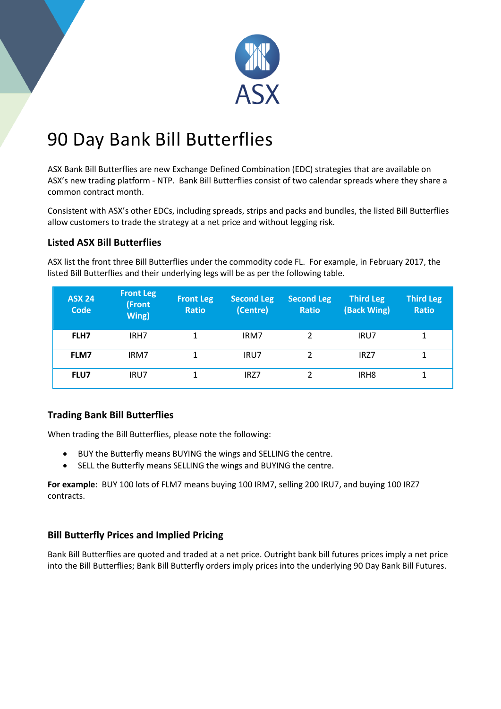

# 90 Day Bank Bill Butterflies

ASX Bank Bill Butterflies are new Exchange Defined Combination (EDC) strategies that are available on ASX's new trading platform - NTP. Bank Bill Butterflies consist of two calendar spreads where they share a common contract month.

Consistent with ASX's other EDCs, including spreads, strips and packs and bundles, the listed Bill Butterflies allow customers to trade the strategy at a net price and without legging risk.

### **Listed ASX Bill Butterflies**

ASX list the front three Bill Butterflies under the commodity code FL. For example, in February 2017, the listed Bill Butterflies and their underlying legs will be as per the following table.

| <b>ASX 24</b><br><b>Code</b> | <b>Front Leg</b><br>(Front<br>Wing) | <b>Front Leg</b><br><b>Ratio</b> | <b>Second Leg</b><br>(Centre) | <b>Second Leg</b><br><b>Ratio</b> | <b>Third Leg</b><br>(Back Wing) | <b>Third Leg</b><br><b>Ratio</b> |
|------------------------------|-------------------------------------|----------------------------------|-------------------------------|-----------------------------------|---------------------------------|----------------------------------|
| FLH7                         | IRH7                                |                                  | IRM7                          | 2                                 | IRU7                            | 1                                |
| <b>FLM7</b>                  | IRM7                                | 1                                | IRU7                          | 2                                 | IRZ7                            | 1                                |
| <b>FLU7</b>                  | IRU7                                |                                  | IRZ7                          |                                   | IRH <sub>8</sub>                |                                  |

#### **Trading Bank Bill Butterflies**

When trading the Bill Butterflies, please note the following:

- BUY the Butterfly means BUYING the wings and SELLING the centre.
- SELL the Butterfly means SELLING the wings and BUYING the centre.

**For example**: BUY 100 lots of FLM7 means buying 100 IRM7, selling 200 IRU7, and buying 100 IRZ7 contracts.

## **Bill Butterfly Prices and Implied Pricing**

Bank Bill Butterflies are quoted and traded at a net price. Outright bank bill futures prices imply a net price into the Bill Butterflies; Bank Bill Butterfly orders imply prices into the underlying 90 Day Bank Bill Futures.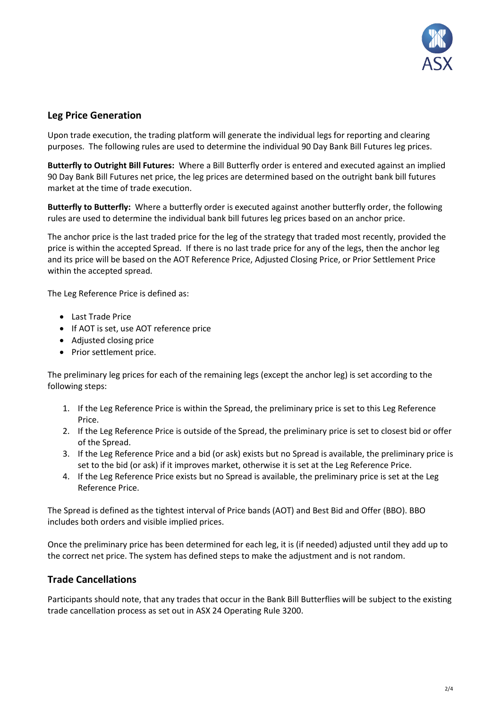

#### **Leg Price Generation**

Upon trade execution, the trading platform will generate the individual legs for reporting and clearing purposes. The following rules are used to determine the individual 90 Day Bank Bill Futures leg prices.

**Butterfly to Outright Bill Futures:** Where a Bill Butterfly order is entered and executed against an implied 90 Day Bank Bill Futures net price, the leg prices are determined based on the outright bank bill futures market at the time of trade execution.

**Butterfly to Butterfly:** Where a butterfly order is executed against another butterfly order, the following rules are used to determine the individual bank bill futures leg prices based on an anchor price.

The anchor price is the last traded price for the leg of the strategy that traded most recently, provided the price is within the accepted Spread. If there is no last trade price for any of the legs, then the anchor leg and its price will be based on the AOT Reference Price, Adjusted Closing Price, or Prior Settlement Price within the accepted spread.

The Leg Reference Price is defined as:

- Last Trade Price
- If AOT is set, use AOT reference price
- Adjusted closing price
- Prior settlement price.

The preliminary leg prices for each of the remaining legs (except the anchor leg) is set according to the following steps:

- 1. If the Leg Reference Price is within the Spread, the preliminary price is set to this Leg Reference Price.
- 2. If the Leg Reference Price is outside of the Spread, the preliminary price is set to closest bid or offer of the Spread.
- 3. If the Leg Reference Price and a bid (or ask) exists but no Spread is available, the preliminary price is set to the bid (or ask) if it improves market, otherwise it is set at the Leg Reference Price.
- 4. If the Leg Reference Price exists but no Spread is available, the preliminary price is set at the Leg Reference Price.

The Spread is defined as the tightest interval of Price bands (AOT) and Best Bid and Offer (BBO). BBO includes both orders and visible implied prices.

Once the preliminary price has been determined for each leg, it is (if needed) adjusted until they add up to the correct net price. The system has defined steps to make the adjustment and is not random.

#### **Trade Cancellations**

Participants should note, that any trades that occur in the Bank Bill Butterflies will be subject to the existing trade cancellation process as set out in ASX 24 Operating Rule 3200.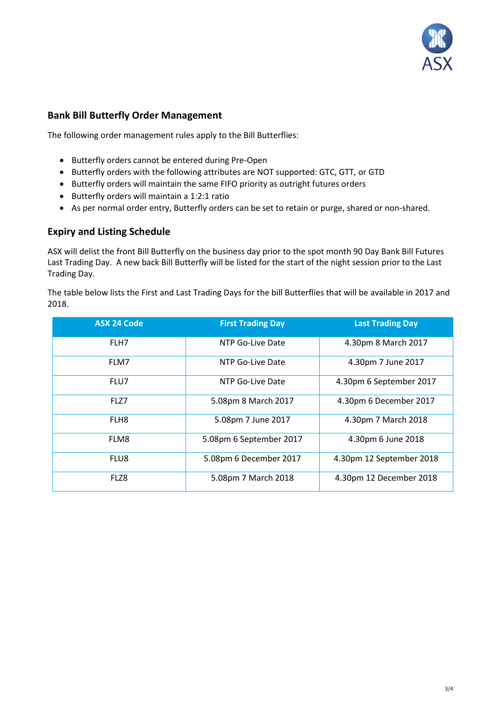

#### **Bank Bill Butterfly Order Management**

The following order management rules apply to the Bill Butterflies:

- Butterfly orders cannot be entered during Pre-Open
- Butterfly orders with the following attributes are NOT supported: GTC, GTT, or GTD
- Butterfly orders will maintain the same FIFO priority as outright futures orders
- Butterfly orders will maintain a 1:2:1 ratio
- As per normal order entry, Butterfly orders can be set to retain or purge, shared or non-shared.

#### **Expiry and Listing Schedule**

ASX will delist the front Bill Butterfly on the business day prior to the spot month 90 Day Bank Bill Futures Last Trading Day. A new back Bill Butterfly will be listed for the start of the night session prior to the Last Trading Day.

The table below lists the First and Last Trading Days for the bill Butterflies that will be available in 2017 and 2018.

| <b>ASX 24 Code</b> | <b>First Trading Day</b> | <b>Last Trading Day</b>  |
|--------------------|--------------------------|--------------------------|
| FLH7               | NTP Go-Live Date         | 4.30pm 8 March 2017      |
| FLM7               | NTP Go-Live Date         | 4.30pm 7 June 2017       |
| FLU7               | NTP Go-Live Date         | 4.30pm 6 September 2017  |
| FLZ7               | 5.08pm 8 March 2017      | 4.30pm 6 December 2017   |
| FLH <sub>8</sub>   | 5.08pm 7 June 2017       | 4.30pm 7 March 2018      |
| FLM8               | 5.08pm 6 September 2017  | 4.30pm 6 June 2018       |
| FLU8               | 5.08pm 6 December 2017   | 4.30pm 12 September 2018 |
| FLZ8               | 5.08pm 7 March 2018      | 4.30pm 12 December 2018  |